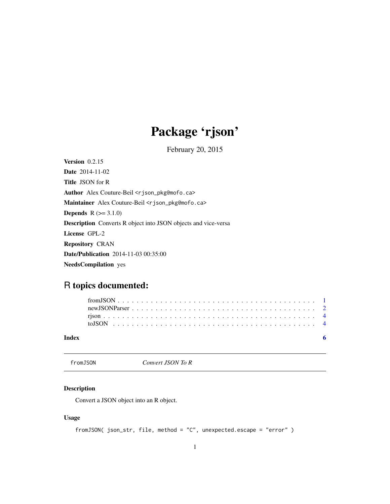## Package 'rjson'

February 20, 2015

<span id="page-0-0"></span>Version 0.2.15 Date 2014-11-02 Title JSON for R Author Alex Couture-Beil <rjson\_pkg@mofo.ca> Maintainer Alex Couture-Beil <rjson\_pkg@mofo.ca> **Depends**  $R$  ( $>= 3.1.0$ ) Description Converts R object into JSON objects and vice-versa License GPL-2 Repository CRAN Date/Publication 2014-11-03 00:35:00 NeedsCompilation yes

### R topics documented:

| Index |  |  |  |  |  |  |  |  |  |  |  |  |  |  |  |  |  |  |
|-------|--|--|--|--|--|--|--|--|--|--|--|--|--|--|--|--|--|--|

<span id="page-0-1"></span>fromJSON *Convert JSON To R*

#### Description

Convert a JSON object into an R object.

#### Usage

```
fromJSON( json_str, file, method = "C", unexpected.escape = "error" )
```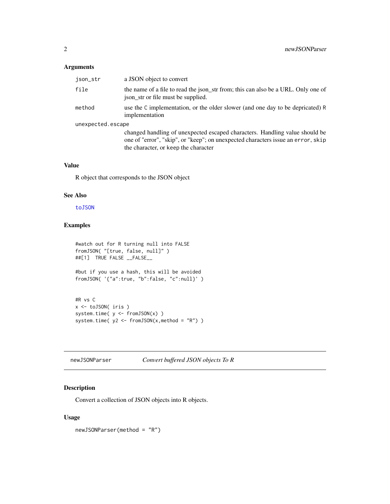#### <span id="page-1-0"></span>Arguments

| json_str          | a JSON object to convert                                                                                                                                                                                |
|-------------------|---------------------------------------------------------------------------------------------------------------------------------------------------------------------------------------------------------|
| file              | the name of a file to read the json_str from; this can also be a URL. Only one of<br>is is so that is so is the supplied.                                                                               |
| method            | use the C implementation, or the older slower (and one day to be depricated) R<br>implementation                                                                                                        |
| unexpected.escape |                                                                                                                                                                                                         |
|                   | changed handling of unexpected escaped characters. Handling value should be<br>one of "error", "skip", or "keep"; on unexpected characters issue an error, skip<br>the character, or keep the character |

#### Value

R object that corresponds to the JSON object

#### See Also

[toJSON](#page-3-1)

#### Examples

```
#watch out for R turning null into FALSE
fromJSON( "[true, false, null]" )
##[1] TRUE FALSE __FALSE__
#but if you use a hash, this will be avoided
fromJSON( '{"a":true, "b":false, "c":null}' )
#R vs C
```

```
x <- toJSON( iris )
system.time( y <- fromJSON(x) )
system.time( y2 <- fromJSON(x,method = "R") )
```
newJSONParser *Convert buffered JSON objects To R*

#### Description

Convert a collection of JSON objects into R objects.

#### Usage

newJSONParser(method = "R")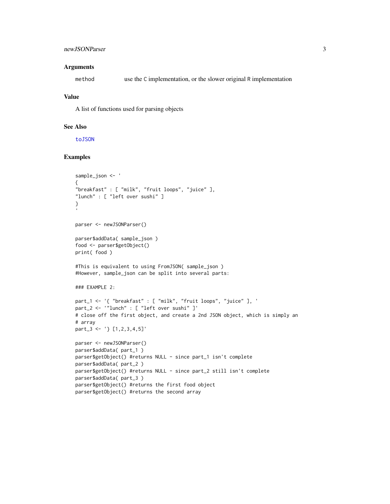#### <span id="page-2-0"></span>newJSONParser 3

#### **Arguments**

method use the C implementation, or the slower original R implementation

#### Value

A list of functions used for parsing objects

#### See Also

[toJSON](#page-3-1)

#### Examples

```
sample_json <- '
{
"breakfast" : [ "milk", "fruit loops", "juice" ],
"lunch" : [ "left over sushi" ]
}
parser <- newJSONParser()
parser$addData( sample_json )
food <- parser$getObject()
print( food )
#This is equivalent to using FromJSON( sample_json )
#However, sample_json can be split into several parts:
### EXAMPLE 2:
part_1 <- '{ "breakfast" : [ "milk", "fruit loops", "juice" ], '
part_2 <- '"lunch" : [ "left over sushi" ]'
# close off the first object, and create a 2nd JSON object, which is simply an
# array
part_3 <- '} [1,2,3,4,5]'
parser <- newJSONParser()
parser$addData( part_1 )
parser$getObject() #returns NULL - since part_1 isn't complete
parser$addData( part_2 )
parser$getObject() #returns NULL - since part_2 still isn't complete
parser$addData( part_3 )
parser$getObject() #returns the first food object
parser$getObject() #returns the second array
```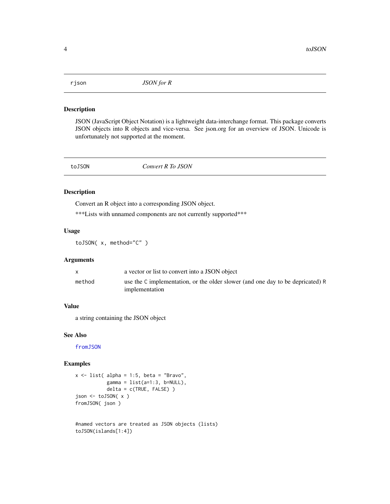<span id="page-3-0"></span>

#### Description

JSON (JavaScript Object Notation) is a lightweight data-interchange format. This package converts JSON objects into R objects and vice-versa. See json.org for an overview of JSON. Unicode is unfortunately not supported at the moment.

<span id="page-3-1"></span>

toJSON *Convert R To JSON*

#### Description

Convert an R object into a corresponding JSON object.

\*\*\*Lists with unnamed components are not currently supported\*\*\*

#### Usage

toJSON( x, method="C" )

#### Arguments

|        | a vector or list to convert into a JSON object                                                   |
|--------|--------------------------------------------------------------------------------------------------|
| method | use the C implementation, or the older slower (and one day to be depricated) R<br>implementation |

#### Value

a string containing the JSON object

#### See Also

[fromJSON](#page-0-1)

#### Examples

```
x \le - list( alpha = 1:5, beta = "Bravo",
           gamma = list(a=1:3, b=NULL),delta = c(TRUE, FALSE)json <- toJSON( x )
fromJSON( json )
```

```
#named vectors are treated as JSON objects (lists)
toJSON(islands[1:4])
```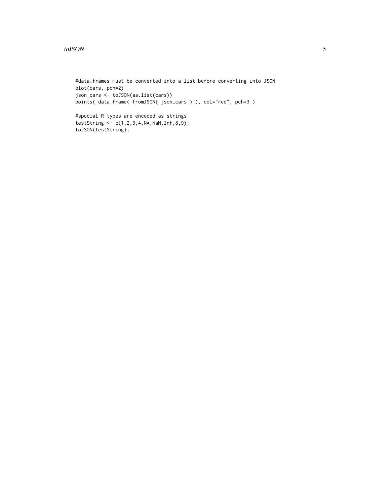#### toJSON 5

#data.frames must be converted into a list before converting into JSON plot(cars, pch=2) json\_cars <- toJSON(as.list(cars)) points( data.frame( fromJSON( json\_cars ) ), col="red", pch=3 )

#special R types are encoded as strings testString <- c(1,2,3,4,NA,NaN,Inf,8,9); toJSON(testString);